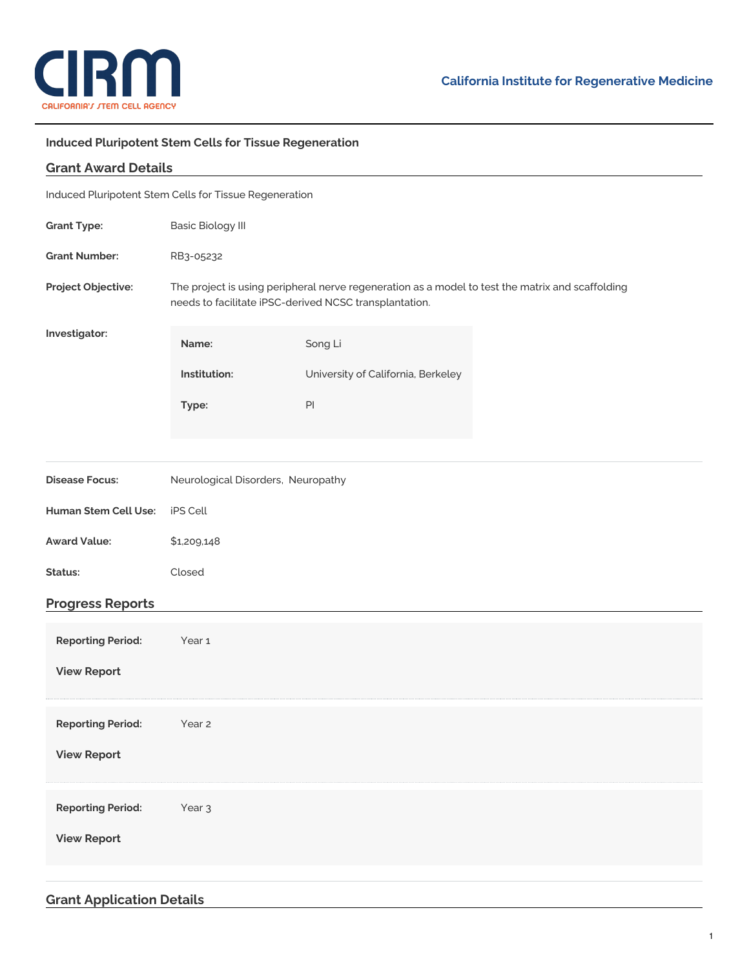

## **Induced Pluripotent Stem Cells for Tissue Regeneration**

| <b>Grant Award Details</b>                             |                                                                                                                                                            |                                    |  |
|--------------------------------------------------------|------------------------------------------------------------------------------------------------------------------------------------------------------------|------------------------------------|--|
| Induced Pluripotent Stem Cells for Tissue Regeneration |                                                                                                                                                            |                                    |  |
| <b>Grant Type:</b>                                     | <b>Basic Biology III</b>                                                                                                                                   |                                    |  |
| <b>Grant Number:</b>                                   | RB3-05232                                                                                                                                                  |                                    |  |
| Project Objective:                                     | The project is using peripheral nerve regeneration as a model to test the matrix and scaffolding<br>needs to facilitate iPSC-derived NCSC transplantation. |                                    |  |
| Investigator:                                          | Name:                                                                                                                                                      | Song Li                            |  |
|                                                        | Institution:                                                                                                                                               | University of California, Berkeley |  |
|                                                        | Type:                                                                                                                                                      | PI                                 |  |
|                                                        |                                                                                                                                                            |                                    |  |
| <b>Disease Focus:</b>                                  | Neurological Disorders, Neuropathy                                                                                                                         |                                    |  |
| Human Stem Cell Use:                                   | iPS Cell                                                                                                                                                   |                                    |  |
| <b>Award Value:</b>                                    | \$1,209,148                                                                                                                                                |                                    |  |
| Status:                                                | Closed                                                                                                                                                     |                                    |  |
| <b>Progress Reports</b>                                |                                                                                                                                                            |                                    |  |
| <b>Reporting Period:</b>                               | Year <sub>1</sub>                                                                                                                                          |                                    |  |
| <b>View Report</b>                                     |                                                                                                                                                            |                                    |  |
| <b>Reporting Period:</b>                               | Year 2                                                                                                                                                     |                                    |  |
| <b>View Report</b>                                     |                                                                                                                                                            |                                    |  |
| <b>Reporting Period:</b>                               | Year <sub>3</sub>                                                                                                                                          |                                    |  |
| <b>View Report</b>                                     |                                                                                                                                                            |                                    |  |
|                                                        |                                                                                                                                                            |                                    |  |

## **Grant Application Details**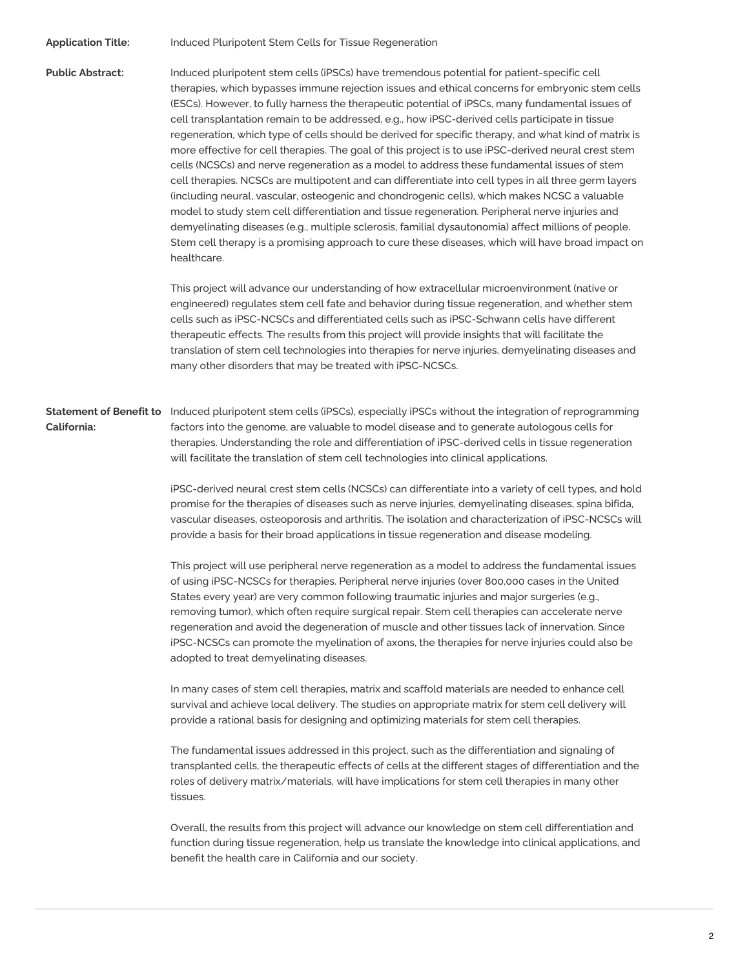**Application Title:** Induced Pluripotent Stem Cells for Tissue Regeneration

**Public Abstract:** Induced pluripotent stem cells (iPSCs) have tremendous potential for patient-specific cell therapies, which bypasses immune rejection issues and ethical concerns for embryonic stem cells (ESCs). However, to fully harness the therapeutic potential of iPSCs, many fundamental issues of cell transplantation remain to be addressed, e.g., how iPSC-derived cells participate in tissue regeneration, which type of cells should be derived for specific therapy, and what kind of matrix is more effective for cell therapies. The goal of this project is to use iPSC-derived neural crest stem cells (NCSCs) and nerve regeneration as a model to address these fundamental issues of stem cell therapies. NCSCs are multipotent and can differentiate into cell types in all three germ layers (including neural, vascular, osteogenic and chondrogenic cells), which makes NCSC a valuable model to study stem cell differentiation and tissue regeneration. Peripheral nerve injuries and demyelinating diseases (e.g., multiple sclerosis, familial dysautonomia) affect millions of people. Stem cell therapy is a promising approach to cure these diseases, which will have broad impact on healthcare.

> This project will advance our understanding of how extracellular microenvironment (native or engineered) regulates stem cell fate and behavior during tissue regeneration, and whether stem cells such as iPSC-NCSCs and differentiated cells such as iPSC-Schwann cells have different therapeutic effects. The results from this project will provide insights that will facilitate the translation of stem cell technologies into therapies for nerve injuries, demyelinating diseases and many other disorders that may be treated with iPSC-NCSCs.

**Statement of Benefit to** Induced pluripotent stem cells (iPSCs), especially iPSCs without the integration of reprogramming **California:** factors into the genome, are valuable to model disease and to generate autologous cells for therapies. Understanding the role and differentiation of iPSC-derived cells in tissue regeneration will facilitate the translation of stem cell technologies into clinical applications.

> iPSC-derived neural crest stem cells (NCSCs) can differentiate into a variety of cell types, and hold promise for the therapies of diseases such as nerve injuries, demyelinating diseases, spina bifida, vascular diseases, osteoporosis and arthritis. The isolation and characterization of iPSC-NCSCs will provide a basis for their broad applications in tissue regeneration and disease modeling.

This project will use peripheral nerve regeneration as a model to address the fundamental issues of using iPSC-NCSCs for therapies. Peripheral nerve injuries (over 800,000 cases in the United States every year) are very common following traumatic injuries and major surgeries (e.g., removing tumor), which often require surgical repair. Stem cell therapies can accelerate nerve regeneration and avoid the degeneration of muscle and other tissues lack of innervation. Since iPSC-NCSCs can promote the myelination of axons, the therapies for nerve injuries could also be adopted to treat demyelinating diseases.

In many cases of stem cell therapies, matrix and scaffold materials are needed to enhance cell survival and achieve local delivery. The studies on appropriate matrix for stem cell delivery will provide a rational basis for designing and optimizing materials for stem cell therapies.

The fundamental issues addressed in this project, such as the differentiation and signaling of transplanted cells, the therapeutic effects of cells at the different stages of differentiation and the roles of delivery matrix/materials, will have implications for stem cell therapies in many other tissues.

Overall, the results from this project will advance our knowledge on stem cell differentiation and function during tissue regeneration, help us translate the knowledge into clinical applications, and benefit the health care in California and our society.